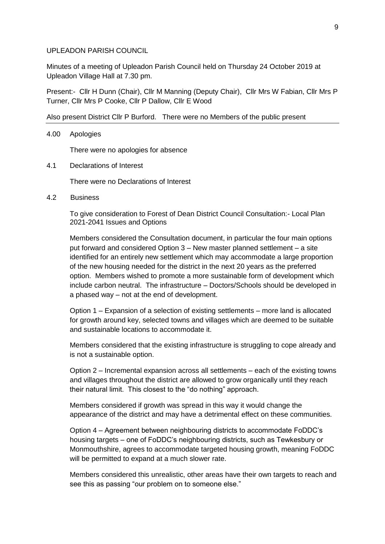## UPLEADON PARISH COUNCIL

Minutes of a meeting of Upleadon Parish Council held on Thursday 24 October 2019 at Upleadon Village Hall at 7.30 pm.

Present:- Cllr H Dunn (Chair), Cllr M Manning (Deputy Chair), Cllr Mrs W Fabian, Cllr Mrs P Turner, Cllr Mrs P Cooke, Cllr P Dallow, Cllr E Wood

Also present District Cllr P Burford. There were no Members of the public present

## 4.00 Apologies

There were no apologies for absence

4.1 Declarations of Interest

There were no Declarations of Interest

4.2 Business

To give consideration to Forest of Dean District Council Consultation:- Local Plan 2021-2041 Issues and Options

Members considered the Consultation document, in particular the four main options put forward and considered Option 3 – New master planned settlement – a site identified for an entirely new settlement which may accommodate a large proportion of the new housing needed for the district in the next 20 years as the preferred option. Members wished to promote a more sustainable form of development which include carbon neutral. The infrastructure – Doctors/Schools should be developed in a phased way – not at the end of development.

Option 1 – Expansion of a selection of existing settlements – more land is allocated for growth around key, selected towns and villages which are deemed to be suitable and sustainable locations to accommodate it.

Members considered that the existing infrastructure is struggling to cope already and is not a sustainable option.

Option 2 – Incremental expansion across all settlements – each of the existing towns and villages throughout the district are allowed to grow organically until they reach their natural limit. This closest to the "do nothing" approach.

Members considered if growth was spread in this way it would change the appearance of the district and may have a detrimental effect on these communities.

Option 4 – Agreement between neighbouring districts to accommodate FoDDC's housing targets – one of FoDDC's neighbouring districts, such as Tewkesbury or Monmouthshire, agrees to accommodate targeted housing growth, meaning FoDDC will be permitted to expand at a much slower rate.

Members considered this unrealistic, other areas have their own targets to reach and see this as passing "our problem on to someone else."